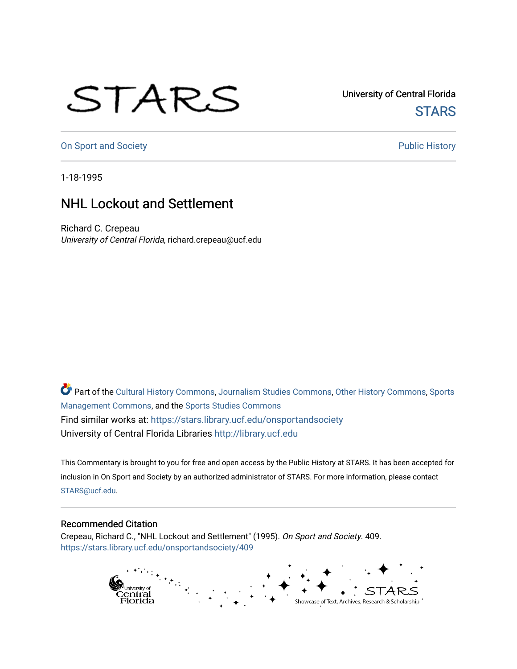## STARS

University of Central Florida **STARS** 

[On Sport and Society](https://stars.library.ucf.edu/onsportandsociety) **Public History** Public History

1-18-1995

## NHL Lockout and Settlement

Richard C. Crepeau University of Central Florida, richard.crepeau@ucf.edu

Part of the [Cultural History Commons](http://network.bepress.com/hgg/discipline/496?utm_source=stars.library.ucf.edu%2Fonsportandsociety%2F409&utm_medium=PDF&utm_campaign=PDFCoverPages), [Journalism Studies Commons,](http://network.bepress.com/hgg/discipline/333?utm_source=stars.library.ucf.edu%2Fonsportandsociety%2F409&utm_medium=PDF&utm_campaign=PDFCoverPages) [Other History Commons,](http://network.bepress.com/hgg/discipline/508?utm_source=stars.library.ucf.edu%2Fonsportandsociety%2F409&utm_medium=PDF&utm_campaign=PDFCoverPages) [Sports](http://network.bepress.com/hgg/discipline/1193?utm_source=stars.library.ucf.edu%2Fonsportandsociety%2F409&utm_medium=PDF&utm_campaign=PDFCoverPages) [Management Commons](http://network.bepress.com/hgg/discipline/1193?utm_source=stars.library.ucf.edu%2Fonsportandsociety%2F409&utm_medium=PDF&utm_campaign=PDFCoverPages), and the [Sports Studies Commons](http://network.bepress.com/hgg/discipline/1198?utm_source=stars.library.ucf.edu%2Fonsportandsociety%2F409&utm_medium=PDF&utm_campaign=PDFCoverPages) Find similar works at: <https://stars.library.ucf.edu/onsportandsociety> University of Central Florida Libraries [http://library.ucf.edu](http://library.ucf.edu/) 

This Commentary is brought to you for free and open access by the Public History at STARS. It has been accepted for inclusion in On Sport and Society by an authorized administrator of STARS. For more information, please contact [STARS@ucf.edu](mailto:STARS@ucf.edu).

## Recommended Citation

Crepeau, Richard C., "NHL Lockout and Settlement" (1995). On Sport and Society. 409. [https://stars.library.ucf.edu/onsportandsociety/409](https://stars.library.ucf.edu/onsportandsociety/409?utm_source=stars.library.ucf.edu%2Fonsportandsociety%2F409&utm_medium=PDF&utm_campaign=PDFCoverPages)

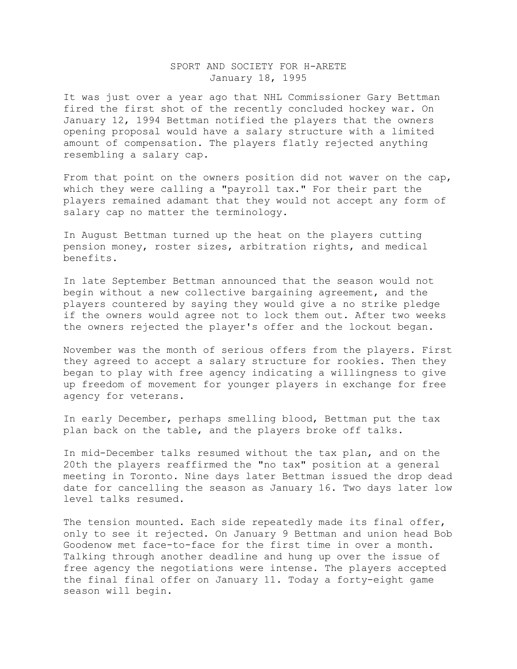## SPORT AND SOCIETY FOR H-ARETE January 18, 1995

It was just over a year ago that NHL Commissioner Gary Bettman fired the first shot of the recently concluded hockey war. On January 12, 1994 Bettman notified the players that the owners opening proposal would have a salary structure with a limited amount of compensation. The players flatly rejected anything resembling a salary cap.

From that point on the owners position did not waver on the cap, which they were calling a "payroll tax." For their part the players remained adamant that they would not accept any form of salary cap no matter the terminology.

In August Bettman turned up the heat on the players cutting pension money, roster sizes, arbitration rights, and medical benefits.

In late September Bettman announced that the season would not begin without a new collective bargaining agreement, and the players countered by saying they would give a no strike pledge if the owners would agree not to lock them out. After two weeks the owners rejected the player's offer and the lockout began.

November was the month of serious offers from the players. First they agreed to accept a salary structure for rookies. Then they began to play with free agency indicating a willingness to give up freedom of movement for younger players in exchange for free agency for veterans.

In early December, perhaps smelling blood, Bettman put the tax plan back on the table, and the players broke off talks.

In mid-December talks resumed without the tax plan, and on the 20th the players reaffirmed the "no tax" position at a general meeting in Toronto. Nine days later Bettman issued the drop dead date for cancelling the season as January 16. Two days later low level talks resumed.

The tension mounted. Each side repeatedly made its final offer, only to see it rejected. On January 9 Bettman and union head Bob Goodenow met face-to-face for the first time in over a month. Talking through another deadline and hung up over the issue of free agency the negotiations were intense. The players accepted the final final offer on January 11. Today a forty-eight game season will begin.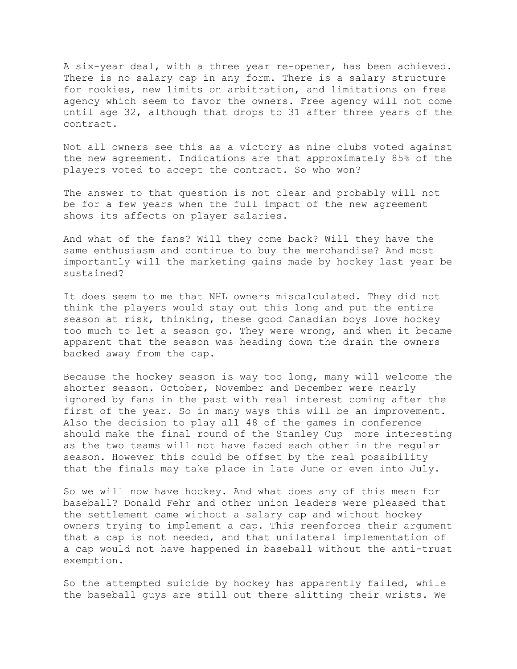A six-year deal, with a three year re-opener, has been achieved. There is no salary cap in any form. There is a salary structure for rookies, new limits on arbitration, and limitations on free agency which seem to favor the owners. Free agency will not come until age 32, although that drops to 31 after three years of the contract.

Not all owners see this as a victory as nine clubs voted against the new agreement. Indications are that approximately 85% of the players voted to accept the contract. So who won?

The answer to that question is not clear and probably will not be for a few years when the full impact of the new agreement shows its affects on player salaries.

And what of the fans? Will they come back? Will they have the same enthusiasm and continue to buy the merchandise? And most importantly will the marketing gains made by hockey last year be sustained?

It does seem to me that NHL owners miscalculated. They did not think the players would stay out this long and put the entire season at risk, thinking, these good Canadian boys love hockey too much to let a season go. They were wrong, and when it became apparent that the season was heading down the drain the owners backed away from the cap.

Because the hockey season is way too long, many will welcome the shorter season. October, November and December were nearly ignored by fans in the past with real interest coming after the first of the year. So in many ways this will be an improvement. Also the decision to play all 48 of the games in conference should make the final round of the Stanley Cup more interesting as the two teams will not have faced each other in the regular season. However this could be offset by the real possibility that the finals may take place in late June or even into July.

So we will now have hockey. And what does any of this mean for baseball? Donald Fehr and other union leaders were pleased that the settlement came without a salary cap and without hockey owners trying to implement a cap. This reenforces their argument that a cap is not needed, and that unilateral implementation of a cap would not have happened in baseball without the anti-trust exemption.

So the attempted suicide by hockey has apparently failed, while the baseball guys are still out there slitting their wrists. We